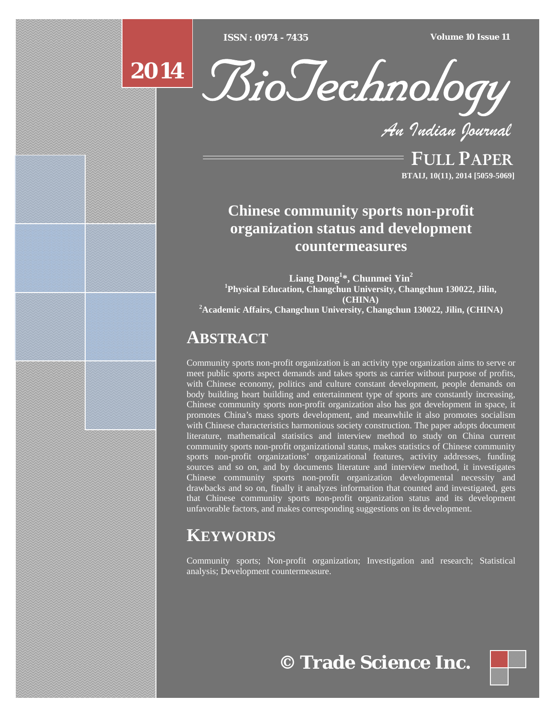[Type text] [Type text] [Type text] *ISSN : 0974 - 7435 Volume 10 Issue 11*





*An Indian Journal*

FULL PAPER **BTAIJ, 10(11), 2014 [5059-5069]**

# **Chinese community sports non-profit organization status and development countermeasures**

**Liang Dong1 \*, Chunmei Yin<sup>2</sup> 1 Physical Education, Changchun University, Changchun 130022, Jilin, (CHINA) 2 Academic Affairs, Changchun University, Changchun 130022, Jilin, (CHINA)**

## **ABSTRACT**

Community sports non-profit organization is an activity type organization aims to serve or meet public sports aspect demands and takes sports as carrier without purpose of profits, with Chinese economy, politics and culture constant development, people demands on body building heart building and entertainment type of sports are constantly increasing, Chinese community sports non-profit organization also has got development in space, it promotes China's mass sports development, and meanwhile it also promotes socialism with Chinese characteristics harmonious society construction. The paper adopts document literature, mathematical statistics and interview method to study on China current community sports non-profit organizational status, makes statistics of Chinese community sports non-profit organizations' organizational features, activity addresses, funding sources and so on, and by documents literature and interview method, it investigates Chinese community sports non-profit organization developmental necessity and drawbacks and so on, finally it analyzes information that counted and investigated, gets that Chinese community sports non-profit organization status and its development unfavorable factors, and makes corresponding suggestions on its development.

# **KEYWORDS**

Community sports; Non-profit organization; Investigation and research; Statistical analysis; Development countermeasure.



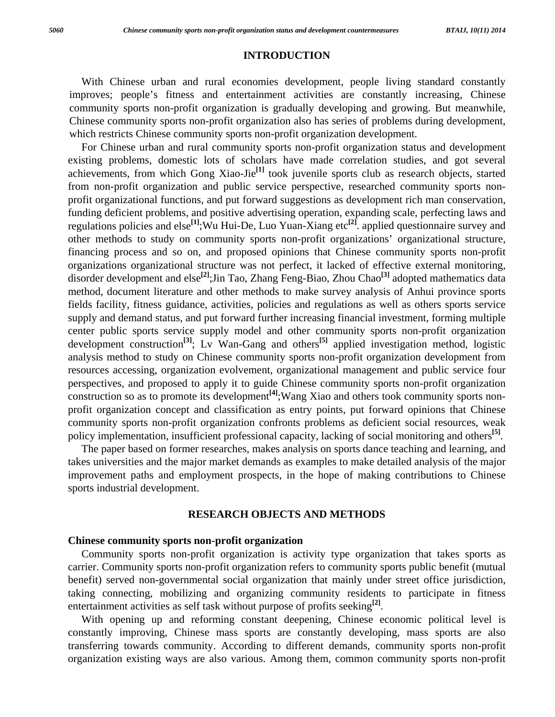#### **INTRODUCTION**

 With Chinese urban and rural economies development, people living standard constantly improves; people's fitness and entertainment activities are constantly increasing, Chinese community sports non-profit organization is gradually developing and growing. But meanwhile, Chinese community sports non-profit organization also has series of problems during development, which restricts Chinese community sports non-profit organization development.

 For Chinese urban and rural community sports non-profit organization status and development existing problems, domestic lots of scholars have made correlation studies, and got several achievements, from which Gong Xiao-Jie**[1]** took juvenile sports club as research objects, started from non-profit organization and public service perspective, researched community sports nonprofit organizational functions, and put forward suggestions as development rich man conservation, funding deficient problems, and positive advertising operation, expanding scale, perfecting laws and regulations policies and else**[1]**;Wu Hui-De, Luo Yuan-Xiang etc**[2]**. applied questionnaire survey and other methods to study on community sports non-profit organizations' organizational structure, financing process and so on, and proposed opinions that Chinese community sports non-profit organizations organizational structure was not perfect, it lacked of effective external monitoring, disorder development and else**[2]**;Jin Tao, Zhang Feng-Biao, Zhou Chao**[3]** adopted mathematics data method, document literature and other methods to make survey analysis of Anhui province sports fields facility, fitness guidance, activities, policies and regulations as well as others sports service supply and demand status, and put forward further increasing financial investment, forming multiple center public sports service supply model and other community sports non-profit organization development construction**[3]**; Lv Wan-Gang and others**[5]** applied investigation method, logistic analysis method to study on Chinese community sports non-profit organization development from resources accessing, organization evolvement, organizational management and public service four perspectives, and proposed to apply it to guide Chinese community sports non-profit organization construction so as to promote its development<sup>[4]</sup>;Wang Xiao and others took community sports nonprofit organization concept and classification as entry points, put forward opinions that Chinese community sports non-profit organization confronts problems as deficient social resources, weak policy implementation, insufficient professional capacity, lacking of social monitoring and others**[5]**.

 The paper based on former researches, makes analysis on sports dance teaching and learning, and takes universities and the major market demands as examples to make detailed analysis of the major improvement paths and employment prospects, in the hope of making contributions to Chinese sports industrial development.

## **RESEARCH OBJECTS AND METHODS**

#### **Chinese community sports non-profit organization**

 Community sports non-profit organization is activity type organization that takes sports as carrier. Community sports non-profit organization refers to community sports public benefit (mutual benefit) served non-governmental social organization that mainly under street office jurisdiction, taking connecting, mobilizing and organizing community residents to participate in fitness entertainment activities as self task without purpose of profits seeking**[2]**.

 With opening up and reforming constant deepening, Chinese economic political level is constantly improving, Chinese mass sports are constantly developing, mass sports are also transferring towards community. According to different demands, community sports non-profit organization existing ways are also various. Among them, common community sports non-profit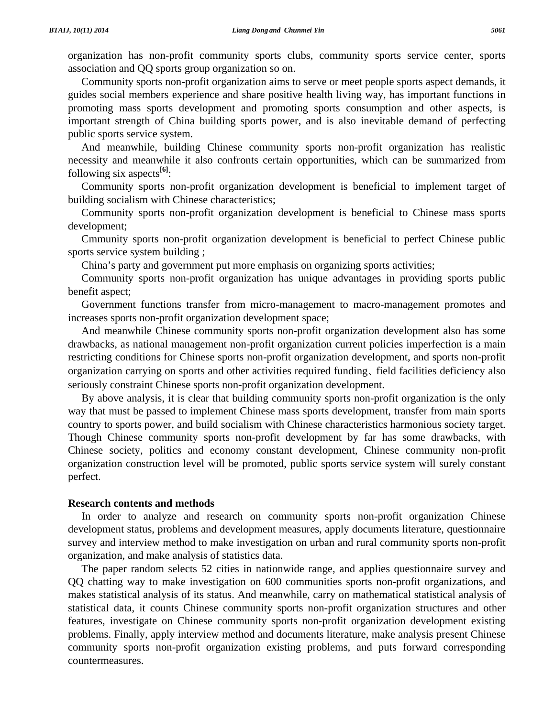organization has non-profit community sports clubs, community sports service center, sports association and QQ sports group organization so on.

 Community sports non-profit organization aims to serve or meet people sports aspect demands, it guides social members experience and share positive health living way, has important functions in promoting mass sports development and promoting sports consumption and other aspects, is important strength of China building sports power, and is also inevitable demand of perfecting public sports service system.

 And meanwhile, building Chinese community sports non-profit organization has realistic necessity and meanwhile it also confronts certain opportunities, which can be summarized from following six aspects**[6]**:

 Community sports non-profit organization development is beneficial to implement target of building socialism with Chinese characteristics;

 Community sports non-profit organization development is beneficial to Chinese mass sports development;

 Cmmunity sports non-profit organization development is beneficial to perfect Chinese public sports service system building ;

China's party and government put more emphasis on organizing sports activities;

 Community sports non-profit organization has unique advantages in providing sports public benefit aspect;

 Government functions transfer from micro-management to macro-management promotes and increases sports non-profit organization development space;

 And meanwhile Chinese community sports non-profit organization development also has some drawbacks, as national management non-profit organization current policies imperfection is a main restricting conditions for Chinese sports non-profit organization development, and sports non-profit organization carrying on sports and other activities required funding、 field facilities deficiency also seriously constraint Chinese sports non-profit organization development.

 By above analysis, it is clear that building community sports non-profit organization is the only way that must be passed to implement Chinese mass sports development, transfer from main sports country to sports power, and build socialism with Chinese characteristics harmonious society target. Though Chinese community sports non-profit development by far has some drawbacks, with Chinese society, politics and economy constant development, Chinese community non-profit organization construction level will be promoted, public sports service system will surely constant perfect.

#### **Research contents and methods**

 In order to analyze and research on community sports non-profit organization Chinese development status, problems and development measures, apply documents literature, questionnaire survey and interview method to make investigation on urban and rural community sports non-profit organization, and make analysis of statistics data.

 The paper random selects 52 cities in nationwide range, and applies questionnaire survey and QQ chatting way to make investigation on 600 communities sports non-profit organizations, and makes statistical analysis of its status. And meanwhile, carry on mathematical statistical analysis of statistical data, it counts Chinese community sports non-profit organization structures and other features, investigate on Chinese community sports non-profit organization development existing problems. Finally, apply interview method and documents literature, make analysis present Chinese community sports non-profit organization existing problems, and puts forward corresponding countermeasures.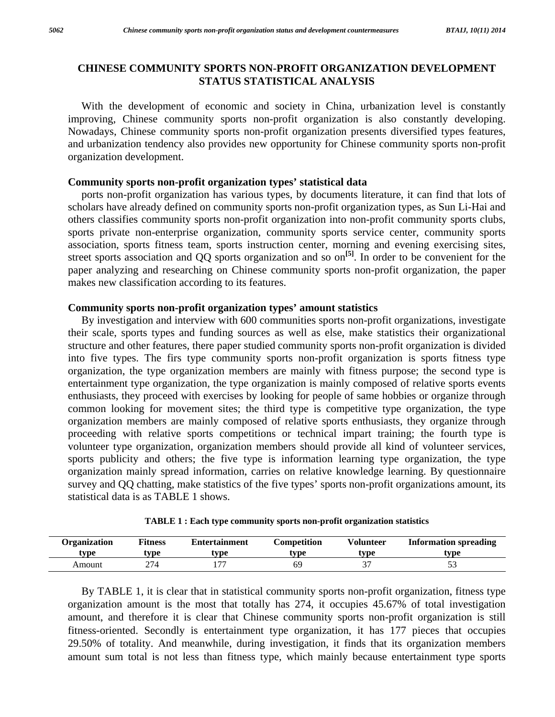## **CHINESE COMMUNITY SPORTS NON-PROFIT ORGANIZATION DEVELOPMENT STATUS STATISTICAL ANALYSIS**

 With the development of economic and society in China, urbanization level is constantly improving, Chinese community sports non-profit organization is also constantly developing. Nowadays, Chinese community sports non-profit organization presents diversified types features, and urbanization tendency also provides new opportunity for Chinese community sports non-profit organization development.

## **Community sports non-profit organization types' statistical data**

 ports non-profit organization has various types, by documents literature, it can find that lots of scholars have already defined on community sports non-profit organization types, as Sun Li-Hai and others classifies community sports non-profit organization into non-profit community sports clubs, sports private non-enterprise organization, community sports service center, community sports association, sports fitness team, sports instruction center, morning and evening exercising sites, street sports association and QQ sports organization and so on**[5]**. In order to be convenient for the paper analyzing and researching on Chinese community sports non-profit organization, the paper makes new classification according to its features.

## **Community sports non-profit organization types' amount statistics**

 By investigation and interview with 600 communities sports non-profit organizations, investigate their scale, sports types and funding sources as well as else, make statistics their organizational structure and other features, there paper studied community sports non-profit organization is divided into five types. The firs type community sports non-profit organization is sports fitness type organization, the type organization members are mainly with fitness purpose; the second type is entertainment type organization, the type organization is mainly composed of relative sports events enthusiasts, they proceed with exercises by looking for people of same hobbies or organize through common looking for movement sites; the third type is competitive type organization, the type organization members are mainly composed of relative sports enthusiasts, they organize through proceeding with relative sports competitions or technical impart training; the fourth type is volunteer type organization, organization members should provide all kind of volunteer services, sports publicity and others; the five type is information learning type organization, the type organization mainly spread information, carries on relative knowledge learning. By questionnaire survey and QQ chatting, make statistics of the five types' sports non-profit organizations amount, its statistical data is as TABLE 1 shows.

| Organization | <b>Fitness</b> | <b>Entertainment</b>     | Competition    | Volunteer | <b>Information spreading</b> |
|--------------|----------------|--------------------------|----------------|-----------|------------------------------|
| '.vpe        | wpe            | tvpe                     | type           | tvpe      | tvpe                         |
| Amount       | 274            | $\overline{\phantom{m}}$ | 6 <sup>c</sup> | $\sim$    | ັ                            |

|  |  |  | TABLE 1 : Each type community sports non-profit organization statistics |
|--|--|--|-------------------------------------------------------------------------|
|--|--|--|-------------------------------------------------------------------------|

 By TABLE 1, it is clear that in statistical community sports non-profit organization, fitness type organization amount is the most that totally has 274, it occupies 45.67% of total investigation amount, and therefore it is clear that Chinese community sports non-profit organization is still fitness-oriented. Secondly is entertainment type organization, it has 177 pieces that occupies 29.50% of totality. And meanwhile, during investigation, it finds that its organization members amount sum total is not less than fitness type, which mainly because entertainment type sports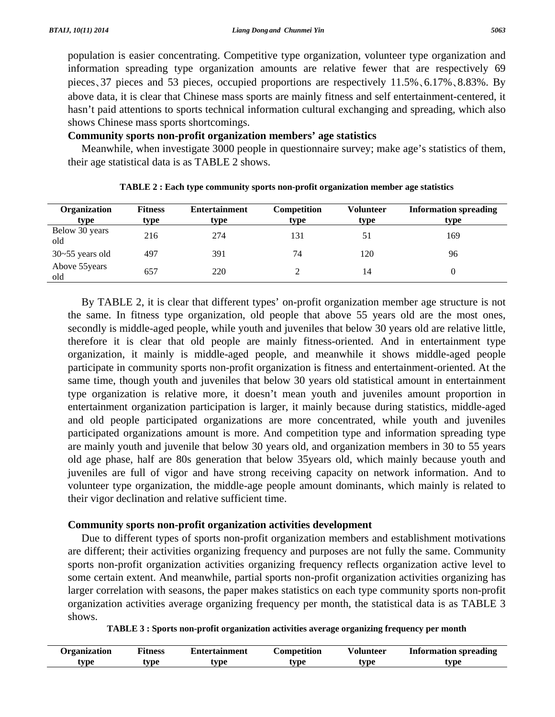population is easier concentrating. Competitive type organization, volunteer type organization and information spreading type organization amounts are relative fewer that are respectively 69 pieces、37 pieces and 53 pieces, occupied proportions are respectively 11.5%、6.17%、8.83%. By above data, it is clear that Chinese mass sports are mainly fitness and self entertainment-centered, it hasn't paid attentions to sports technical information cultural exchanging and spreading, which also shows Chinese mass sports shortcomings.

## **Community sports non-profit organization members' age statistics**

 Meanwhile, when investigate 3000 people in questionnaire survey; make age's statistics of them, their age statistical data is as TABLE 2 shows.

| Organization          | <b>Fitness</b> | <b>Entertainment</b> | <b>Competition</b> | <b>Volunteer</b> | <b>Information spreading</b> |
|-----------------------|----------------|----------------------|--------------------|------------------|------------------------------|
| type                  | type           | type                 | type               | type             | type                         |
| Below 30 years<br>old | 216            | 274                  | 131                | 51               | 169                          |
| $30 - 55$ years old   | 497            | 391                  | 74                 | 120              | 96                           |
| Above 55 years<br>old | 657            | 220                  |                    | 14               |                              |

**TABLE 2 : Each type community sports non-profit organization member age statistics** 

 By TABLE 2, it is clear that different types' on-profit organization member age structure is not the same. In fitness type organization, old people that above 55 years old are the most ones, secondly is middle-aged people, while youth and juveniles that below 30 years old are relative little, therefore it is clear that old people are mainly fitness-oriented. And in entertainment type organization, it mainly is middle-aged people, and meanwhile it shows middle-aged people participate in community sports non-profit organization is fitness and entertainment-oriented. At the same time, though youth and juveniles that below 30 years old statistical amount in entertainment type organization is relative more, it doesn't mean youth and juveniles amount proportion in entertainment organization participation is larger, it mainly because during statistics, middle-aged and old people participated organizations are more concentrated, while youth and juveniles participated organizations amount is more. And competition type and information spreading type are mainly youth and juvenile that below 30 years old, and organization members in 30 to 55 years old age phase, half are 80s generation that below 35years old, which mainly because youth and juveniles are full of vigor and have strong receiving capacity on network information. And to volunteer type organization, the middle-age people amount dominants, which mainly is related to their vigor declination and relative sufficient time.

## **Community sports non-profit organization activities development**

 Due to different types of sports non-profit organization members and establishment motivations are different; their activities organizing frequency and purposes are not fully the same. Community sports non-profit organization activities organizing frequency reflects organization active level to some certain extent. And meanwhile, partial sports non-profit organization activities organizing has larger correlation with seasons, the paper makes statistics on each type community sports non-profit organization activities average organizing frequency per month, the statistical data is as TABLE 3 shows.

| Organization | ʻitness | Entertainment | Competition | Volunteer | Information spreading |
|--------------|---------|---------------|-------------|-----------|-----------------------|
| tvpe         | vpe     | tvpe          | vpe         | tvpe      | tvpe                  |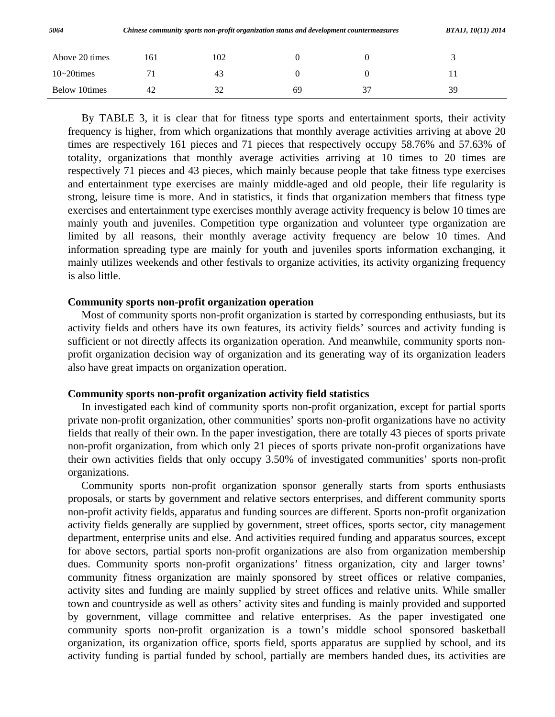| Above 20 times | 161 | 102 |    |    |
|----------------|-----|-----|----|----|
| $10-20$ times  |     | 43  |    |    |
| Below 10times  | -42 | 32  | 69 | 39 |

 By TABLE 3, it is clear that for fitness type sports and entertainment sports, their activity frequency is higher, from which organizations that monthly average activities arriving at above 20 times are respectively 161 pieces and 71 pieces that respectively occupy 58.76% and 57.63% of totality, organizations that monthly average activities arriving at 10 times to 20 times are respectively 71 pieces and 43 pieces, which mainly because people that take fitness type exercises and entertainment type exercises are mainly middle-aged and old people, their life regularity is strong, leisure time is more. And in statistics, it finds that organization members that fitness type exercises and entertainment type exercises monthly average activity frequency is below 10 times are mainly youth and juveniles. Competition type organization and volunteer type organization are limited by all reasons, their monthly average activity frequency are below 10 times. And information spreading type are mainly for youth and juveniles sports information exchanging, it mainly utilizes weekends and other festivals to organize activities, its activity organizing frequency is also little.

#### **Community sports non-profit organization operation**

 Most of community sports non-profit organization is started by corresponding enthusiasts, but its activity fields and others have its own features, its activity fields' sources and activity funding is sufficient or not directly affects its organization operation. And meanwhile, community sports nonprofit organization decision way of organization and its generating way of its organization leaders also have great impacts on organization operation.

#### **Community sports non-profit organization activity field statistics**

 In investigated each kind of community sports non-profit organization, except for partial sports private non-profit organization, other communities' sports non-profit organizations have no activity fields that really of their own. In the paper investigation, there are totally 43 pieces of sports private non-profit organization, from which only 21 pieces of sports private non-profit organizations have their own activities fields that only occupy 3.50% of investigated communities' sports non-profit organizations.

 Community sports non-profit organization sponsor generally starts from sports enthusiasts proposals, or starts by government and relative sectors enterprises, and different community sports non-profit activity fields, apparatus and funding sources are different. Sports non-profit organization activity fields generally are supplied by government, street offices, sports sector, city management department, enterprise units and else. And activities required funding and apparatus sources, except for above sectors, partial sports non-profit organizations are also from organization membership dues. Community sports non-profit organizations' fitness organization, city and larger towns' community fitness organization are mainly sponsored by street offices or relative companies, activity sites and funding are mainly supplied by street offices and relative units. While smaller town and countryside as well as others' activity sites and funding is mainly provided and supported by government, village committee and relative enterprises. As the paper investigated one community sports non-profit organization is a town's middle school sponsored basketball organization, its organization office, sports field, sports apparatus are supplied by school, and its activity funding is partial funded by school, partially are members handed dues, its activities are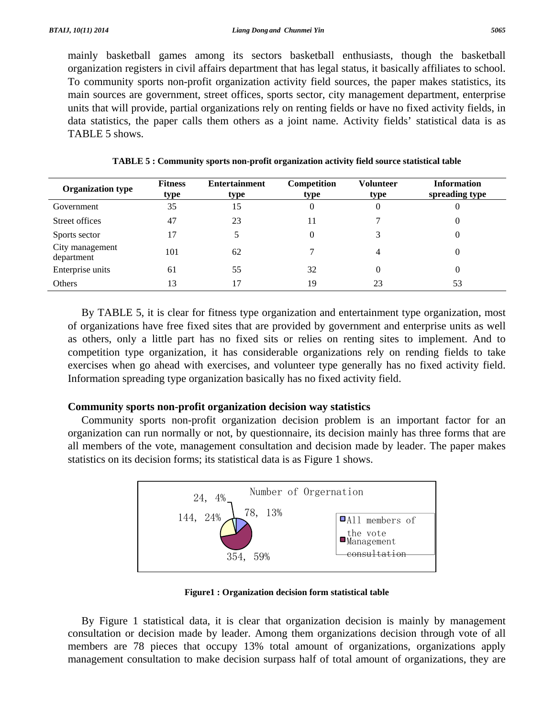mainly basketball games among its sectors basketball enthusiasts, though the basketball organization registers in civil affairs department that has legal status, it basically affiliates to school. To community sports non-profit organization activity field sources, the paper makes statistics, its main sources are government, street offices, sports sector, city management department, enterprise units that will provide, partial organizations rely on renting fields or have no fixed activity fields, in data statistics, the paper calls them others as a joint name. Activity fields' statistical data is as TABLE 5 shows.

| <b>Organization type</b>      | <b>Fitness</b><br>type | <b>Entertainment</b><br>type | Competition<br>type | <b>Volunteer</b><br>type | <b>Information</b><br>spreading type |
|-------------------------------|------------------------|------------------------------|---------------------|--------------------------|--------------------------------------|
| Government                    | 35                     | 15                           | 0                   | 0                        | $\theta$                             |
| Street offices                | 47                     | 23                           | 11                  |                          | 0                                    |
| Sports sector                 | 17                     |                              |                     |                          |                                      |
| City management<br>department | 101                    | 62                           |                     | 4                        |                                      |
| Enterprise units              | 61                     | 55                           | 32                  | 0                        | $\theta$                             |
| Others                        | 13                     | 17                           | 19                  | 23                       | 53                                   |

**TABLE 5 : Community sports non-profit organization activity field source statistical table** 

 By TABLE 5, it is clear for fitness type organization and entertainment type organization, most of organizations have free fixed sites that are provided by government and enterprise units as well as others, only a little part has no fixed sits or relies on renting sites to implement. And to competition type organization, it has considerable organizations rely on rending fields to take exercises when go ahead with exercises, and volunteer type generally has no fixed activity field. Information spreading type organization basically has no fixed activity field.

## **Community sports non-profit organization decision way statistics**

 Community sports non-profit organization decision problem is an important factor for an organization can run normally or not, by questionnaire, its decision mainly has three forms that are all members of the vote, management consultation and decision made by leader. The paper makes statistics on its decision forms; its statistical data is as Figure 1 shows.



**Figure1 : Organization decision form statistical table**

 By Figure 1 statistical data, it is clear that organization decision is mainly by management consultation or decision made by leader. Among them organizations decision through vote of all members are 78 pieces that occupy 13% total amount of organizations, organizations apply management consultation to make decision surpass half of total amount of organizations, they are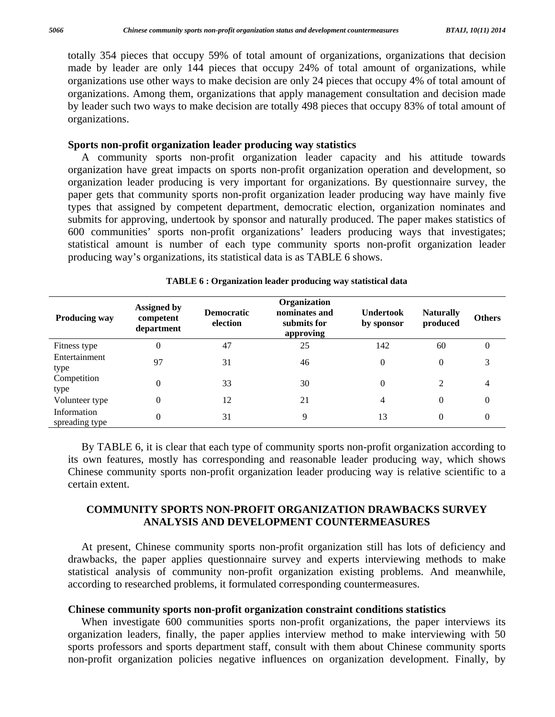totally 354 pieces that occupy 59% of total amount of organizations, organizations that decision made by leader are only 144 pieces that occupy 24% of total amount of organizations, while organizations use other ways to make decision are only 24 pieces that occupy 4% of total amount of organizations. Among them, organizations that apply management consultation and decision made by leader such two ways to make decision are totally 498 pieces that occupy 83% of total amount of organizations.

#### **Sports non-profit organization leader producing way statistics**

 A community sports non-profit organization leader capacity and his attitude towards organization have great impacts on sports non-profit organization operation and development, so organization leader producing is very important for organizations. By questionnaire survey, the paper gets that community sports non-profit organization leader producing way have mainly five types that assigned by competent department, democratic election, organization nominates and submits for approving, undertook by sponsor and naturally produced. The paper makes statistics of 600 communities' sports non-profit organizations' leaders producing ways that investigates; statistical amount is number of each type community sports non-profit organization leader producing way's organizations, its statistical data is as TABLE 6 shows.

| <b>Producing way</b>          | Assigned by<br>competent<br>department | <b>Democratic</b><br>election | Organization<br>nominates and<br>submits for<br>approving | <b>Undertook</b><br>by sponsor | <b>Naturally</b><br>produced | <b>Others</b>  |
|-------------------------------|----------------------------------------|-------------------------------|-----------------------------------------------------------|--------------------------------|------------------------------|----------------|
| Fitness type                  | 0                                      | 47                            | 25                                                        | 142                            | 60                           | 0              |
| Entertainment<br>type         | 97                                     | 31                            | 46                                                        | 0                              | $\mathbf{0}$                 | 3              |
| Competition<br>type           | $\theta$                               | 33                            | 30                                                        | 0                              | 2                            | 4              |
| Volunteer type                | $\theta$                               | 12                            | 21                                                        | 4                              | $\mathbf{0}$                 | 0              |
| Information<br>spreading type | $\theta$                               | 31                            | 9                                                         | 13                             | $\mathbf{0}$                 | $\overline{0}$ |

#### **TABLE 6 : Organization leader producing way statistical data**

 By TABLE 6, it is clear that each type of community sports non-profit organization according to its own features, mostly has corresponding and reasonable leader producing way, which shows Chinese community sports non-profit organization leader producing way is relative scientific to a certain extent.

## **COMMUNITY SPORTS NON-PROFIT ORGANIZATION DRAWBACKS SURVEY ANALYSIS AND DEVELOPMENT COUNTERMEASURES**

 At present, Chinese community sports non-profit organization still has lots of deficiency and drawbacks, the paper applies questionnaire survey and experts interviewing methods to make statistical analysis of community non-profit organization existing problems. And meanwhile, according to researched problems, it formulated corresponding countermeasures.

## **Chinese community sports non-profit organization constraint conditions statistics**

 When investigate 600 communities sports non-profit organizations, the paper interviews its organization leaders, finally, the paper applies interview method to make interviewing with 50 sports professors and sports department staff, consult with them about Chinese community sports non-profit organization policies negative influences on organization development. Finally, by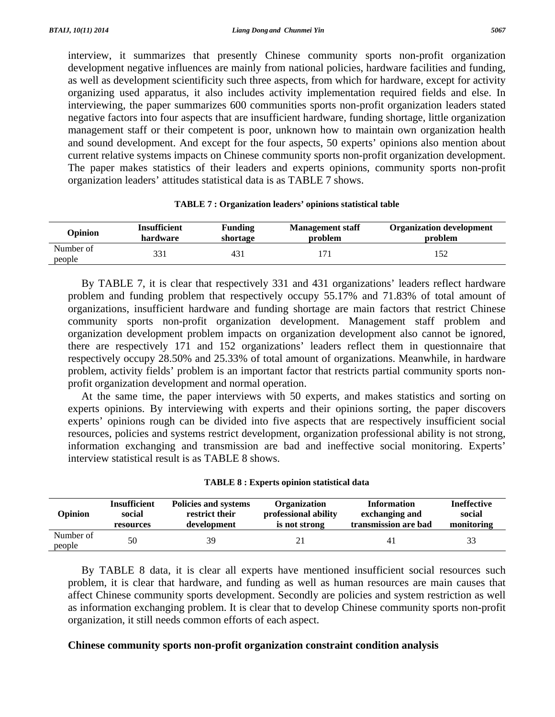interview, it summarizes that presently Chinese community sports non-profit organization development negative influences are mainly from national policies, hardware facilities and funding, as well as development scientificity such three aspects, from which for hardware, except for activity organizing used apparatus, it also includes activity implementation required fields and else. In interviewing, the paper summarizes 600 communities sports non-profit organization leaders stated negative factors into four aspects that are insufficient hardware, funding shortage, little organization management staff or their competent is poor, unknown how to maintain own organization health and sound development. And except for the four aspects, 50 experts' opinions also mention about current relative systems impacts on Chinese community sports non-profit organization development. The paper makes statistics of their leaders and experts opinions, community sports non-profit organization leaders' attitudes statistical data is as TABLE 7 shows.

| Opinion             | <b>Insufficient</b> | <b>Funding</b> | <b>Management staff</b> | <b>Organization development</b> |
|---------------------|---------------------|----------------|-------------------------|---------------------------------|
|                     | hardware            | shortage       | problem                 | problem                         |
| Number of<br>people | 331                 | 431            |                         |                                 |

| TABLE 7 : Organization leaders' opinions statistical table |  |
|------------------------------------------------------------|--|
|------------------------------------------------------------|--|

 By TABLE 7, it is clear that respectively 331 and 431 organizations' leaders reflect hardware problem and funding problem that respectively occupy 55.17% and 71.83% of total amount of organizations, insufficient hardware and funding shortage are main factors that restrict Chinese community sports non-profit organization development. Management staff problem and organization development problem impacts on organization development also cannot be ignored, there are respectively 171 and 152 organizations' leaders reflect them in questionnaire that respectively occupy 28.50% and 25.33% of total amount of organizations. Meanwhile, in hardware problem, activity fields' problem is an important factor that restricts partial community sports nonprofit organization development and normal operation.

 At the same time, the paper interviews with 50 experts, and makes statistics and sorting on experts opinions. By interviewing with experts and their opinions sorting, the paper discovers experts' opinions rough can be divided into five aspects that are respectively insufficient social resources, policies and systems restrict development, organization professional ability is not strong, information exchanging and transmission are bad and ineffective social monitoring. Experts' interview statistical result is as TABLE 8 shows.

|  |  |  |  |  |  |  | <b>TABLE 8 : Experts opinion statistical data</b> |  |
|--|--|--|--|--|--|--|---------------------------------------------------|--|
|--|--|--|--|--|--|--|---------------------------------------------------|--|

| Opinion             | <b>Insufficient</b> | Policies and systems | <b>Organization</b>  | <b>Information</b>   | <b>Ineffective</b> |
|---------------------|---------------------|----------------------|----------------------|----------------------|--------------------|
|                     | social              | restrict their       | professional ability | exchanging and       | social             |
|                     | resources           | development          | is not strong        | transmission are bad | monitoring         |
| Number of<br>people | 50                  | 39                   |                      | 4 I                  | 33                 |

 By TABLE 8 data, it is clear all experts have mentioned insufficient social resources such problem, it is clear that hardware, and funding as well as human resources are main causes that affect Chinese community sports development. Secondly are policies and system restriction as well as information exchanging problem. It is clear that to develop Chinese community sports non-profit organization, it still needs common efforts of each aspect.

#### **Chinese community sports non-profit organization constraint condition analysis**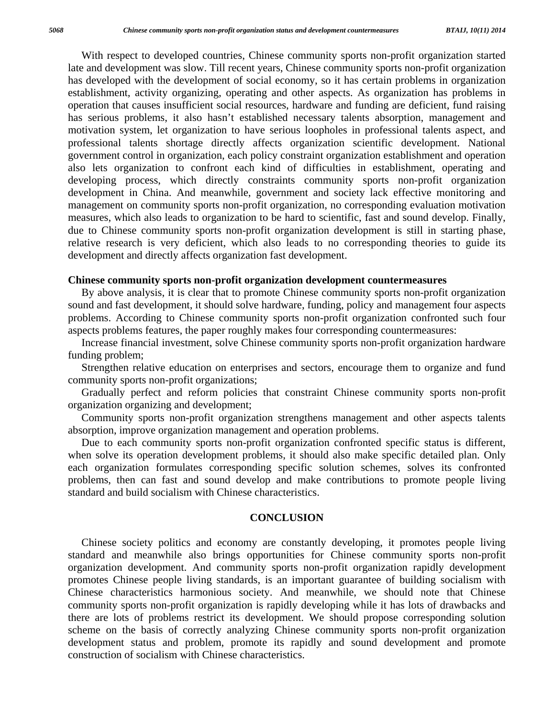With respect to developed countries, Chinese community sports non-profit organization started late and development was slow. Till recent years, Chinese community sports non-profit organization has developed with the development of social economy, so it has certain problems in organization establishment, activity organizing, operating and other aspects. As organization has problems in operation that causes insufficient social resources, hardware and funding are deficient, fund raising has serious problems, it also hasn't established necessary talents absorption, management and motivation system, let organization to have serious loopholes in professional talents aspect, and professional talents shortage directly affects organization scientific development. National government control in organization, each policy constraint organization establishment and operation also lets organization to confront each kind of difficulties in establishment, operating and developing process, which directly constraints community sports non-profit organization development in China. And meanwhile, government and society lack effective monitoring and management on community sports non-profit organization, no corresponding evaluation motivation measures, which also leads to organization to be hard to scientific, fast and sound develop. Finally, due to Chinese community sports non-profit organization development is still in starting phase, relative research is very deficient, which also leads to no corresponding theories to guide its development and directly affects organization fast development.

#### **Chinese community sports non-profit organization development countermeasures**

 By above analysis, it is clear that to promote Chinese community sports non-profit organization sound and fast development, it should solve hardware, funding, policy and management four aspects problems. According to Chinese community sports non-profit organization confronted such four aspects problems features, the paper roughly makes four corresponding countermeasures:

 Increase financial investment, solve Chinese community sports non-profit organization hardware funding problem;

 Strengthen relative education on enterprises and sectors, encourage them to organize and fund community sports non-profit organizations;

 Gradually perfect and reform policies that constraint Chinese community sports non-profit organization organizing and development;

 Community sports non-profit organization strengthens management and other aspects talents absorption, improve organization management and operation problems.

 Due to each community sports non-profit organization confronted specific status is different, when solve its operation development problems, it should also make specific detailed plan. Only each organization formulates corresponding specific solution schemes, solves its confronted problems, then can fast and sound develop and make contributions to promote people living standard and build socialism with Chinese characteristics.

#### **CONCLUSION**

 Chinese society politics and economy are constantly developing, it promotes people living standard and meanwhile also brings opportunities for Chinese community sports non-profit organization development. And community sports non-profit organization rapidly development promotes Chinese people living standards, is an important guarantee of building socialism with Chinese characteristics harmonious society. And meanwhile, we should note that Chinese community sports non-profit organization is rapidly developing while it has lots of drawbacks and there are lots of problems restrict its development. We should propose corresponding solution scheme on the basis of correctly analyzing Chinese community sports non-profit organization development status and problem, promote its rapidly and sound development and promote construction of socialism with Chinese characteristics.